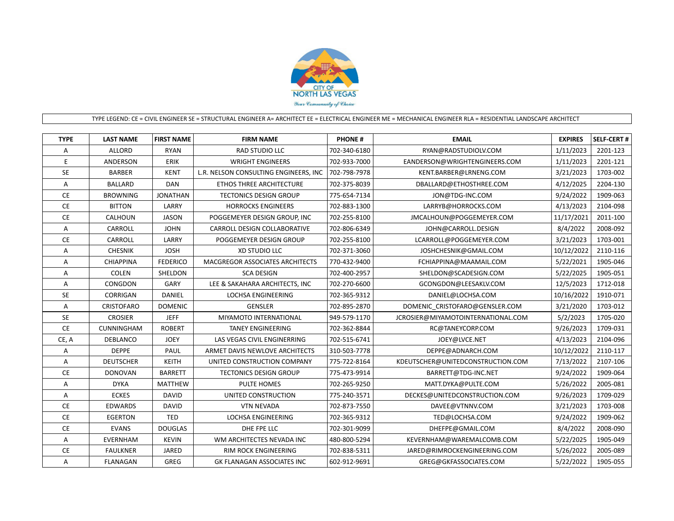

## TYPE LEGEND: CE = CIVIL ENGINEER SE = STRUCTURAL ENGINEER A= ARCHITECT EE = ELECTRICAL ENGINEER ME = MECHANICAL ENGINEER RLA = RESIDENTIAL LANDSCAPE ARCHITECT

| <b>TYPE</b> | <b>LAST NAME</b>  | <b>FIRST NAME</b> | <b>FIRM NAME</b>                      | <b>PHONE#</b> | <b>EMAIL</b>                       | <b>EXPIRES</b> | <b>SELF-CERT#</b> |
|-------------|-------------------|-------------------|---------------------------------------|---------------|------------------------------------|----------------|-------------------|
| Α           | <b>ALLORD</b>     | <b>RYAN</b>       | <b>RAD STUDIO LLC</b>                 | 702-340-6180  | RYAN@RADSTUDIOLV.COM               | 1/11/2023      | 2201-123          |
| E           | ANDERSON          | <b>ERIK</b>       | <b>WRIGHT ENGINEERS</b>               | 702-933-7000  | EANDERSON@WRIGHTENGINEERS.COM      | 1/11/2023      | 2201-121          |
| <b>SE</b>   | <b>BARBER</b>     | <b>KENT</b>       | L.R. NELSON CONSULTING ENGINEERS, INC | 702-798-7978  | KENT.BARBER@LRNENG.COM             | 3/21/2023      | 1703-002          |
| А           | <b>BALLARD</b>    | <b>DAN</b>        | ETHOS THREE ARCHITECTURE              | 702-375-8039  | DBALLARD@ETHOSTHREE.COM            | 4/12/2025      | 2204-130          |
| <b>CE</b>   | <b>BROWNING</b>   | <b>JONATHAN</b>   | <b>TECTONICS DESIGN GROUP</b>         | 775-654-7134  | JON@TDG-INC.COM                    | 9/24/2022      | 1909-063          |
| <b>CE</b>   | <b>BITTON</b>     | LARRY             | <b>HORROCKS ENGINEERS</b>             | 702-883-1300  | LARRYB@HORROCKS.COM                | 4/13/2023      | 2104-098          |
| <b>CE</b>   | CALHOUN           | <b>JASON</b>      | POGGEMEYER DESIGN GROUP, INC          | 702-255-8100  | JMCALHOUN@POGGEMEYER.COM           | 11/17/2021     | 2011-100          |
| A           | CARROLL           | <b>JOHN</b>       | CARROLL DESIGN COLLABORATIVE          | 702-806-6349  | JOHN@CARROLL.DESIGN                | 8/4/2022       | 2008-092          |
| <b>CE</b>   | CARROLL           | LARRY             | POGGEMEYER DESIGN GROUP               | 702-255-8100  | LCARROLL@POGGEMEYER.COM            | 3/21/2023      | 1703-001          |
| Α           | <b>CHESNIK</b>    | <b>JOSH</b>       | <b>XD STUDIO LLC</b>                  | 702-371-3060  | JOSHCHESNIK@GMAIL.COM              | 10/12/2022     | 2110-116          |
| Α           | <b>CHIAPPINA</b>  | <b>FEDERICO</b>   | MACGREGOR ASSOCIATES ARCHITECTS       | 770-432-9400  | FCHIAPPINA@MAAMAIL.COM             | 5/22/2021      | 1905-046          |
| A           | <b>COLEN</b>      | SHELDON           | <b>SCA DESIGN</b>                     | 702-400-2957  | SHELDON@SCADESIGN.COM              | 5/22/2025      | 1905-051          |
| Α           | CONGDON           | GARY              | LEE & SAKAHARA ARCHITECTS, INC        | 702-270-6600  | GCONGDON@LEESAKLV.COM              | 12/5/2023      | 1712-018          |
| <b>SE</b>   | <b>CORRIGAN</b>   | <b>DANIEL</b>     | LOCHSA ENGINEERING                    | 702-365-9312  | DANIEL@LOCHSA.COM                  | 10/16/2022     | 1910-071          |
| A           | <b>CRISTOFARO</b> | <b>DOMENIC</b>    | <b>GENSLER</b>                        | 702-895-2870  | DOMENIC CRISTOFARO@GENSLER.COM     | 3/21/2020      | 1703-012          |
| <b>SE</b>   | <b>CROSIER</b>    | <b>JEFF</b>       | MIYAMOTO INTERNATIONAL                | 949-579-1170  | JCROSIER@MIYAMOTOINTERNATIONAL.COM | 5/2/2023       | 1705-020          |
| CE          | CUNNINGHAM        | <b>ROBERT</b>     | <b>TANEY ENGINEERING</b>              | 702-362-8844  | RC@TANEYCORP.COM                   | 9/26/2023      | 1709-031          |
| CE, A       | <b>DEBLANCO</b>   | <b>JOEY</b>       | LAS VEGAS CIVIL ENGINERRING           | 702-515-6741  | JOEY@LVCE.NET                      | 4/13/2023      | 2104-096          |
| A           | <b>DEPPE</b>      | PAUL              | ARMET DAVIS NEWLOVE ARCHITECTS        | 310-503-7778  | DEPPE@ADNARCH.COM                  | 10/12/2022     | 2110-117          |
| Α           | <b>DEUTSCHER</b>  | <b>KEITH</b>      | UNITED CONSTRUCTION COMPANY           | 775-722-8164  | KDEUTSCHER@UNITEDCONSTRUCTION.COM  | 7/13/2022      | 2107-106          |
| <b>CE</b>   | <b>DONOVAN</b>    | <b>BARRETT</b>    | <b>TECTONICS DESIGN GROUP</b>         | 775-473-9914  | BARRETT@TDG-INC.NET                | 9/24/2022      | 1909-064          |
| Α           | <b>DYKA</b>       | <b>MATTHEW</b>    | PULTE HOMES                           | 702-265-9250  | MATT.DYKA@PULTE.COM                | 5/26/2022      | 2005-081          |
| A           | <b>ECKES</b>      | <b>DAVID</b>      | UNITED CONSTRUCTION                   | 775-240-3571  | DECKES@UNITEDCONSTRUCTION.COM      | 9/26/2023      | 1709-029          |
| <b>CE</b>   | <b>EDWARDS</b>    | <b>DAVID</b>      | <b>VTN NEVADA</b>                     | 702-873-7550  | DAVEE@VTNNV.COM                    | 3/21/2023      | 1703-008          |
| <b>CE</b>   | <b>EGERTON</b>    | <b>TED</b>        | <b>LOCHSA ENGINEERING</b>             | 702-365-9312  | TED@LOCHSA.COM                     | 9/24/2022      | 1909-062          |
| <b>CE</b>   | <b>EVANS</b>      | <b>DOUGLAS</b>    | DHE FPE LLC                           | 702-301-9099  | DHEFPE@GMAIL.COM                   | 8/4/2022       | 2008-090          |
| Α           | <b>EVERNHAM</b>   | <b>KEVIN</b>      | WM ARCHITECTES NEVADA INC             | 480-800-5294  | KEVERNHAM@WAREMALCOMB.COM          | 5/22/2025      | 1905-049          |
| <b>CE</b>   | <b>FAULKNER</b>   | JARED             | <b>RIM ROCK ENGINEERING</b>           | 702-838-5311  | JARED@RIMROCKENGINEERING.COM       | 5/26/2022      | 2005-089          |
| Α           | <b>FLANAGAN</b>   | GREG              | <b>GK FLANAGAN ASSOCIATES INC</b>     | 602-912-9691  | GREG@GKFASSOCIATES.COM             | 5/22/2022      | 1905-055          |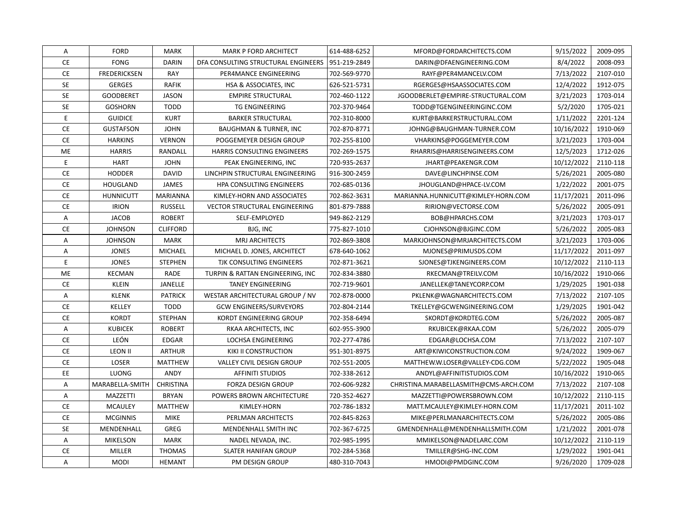| Α             | <b>FORD</b>         | <b>MARK</b>     | <b>MARK P FORD ARCHITECT</b>         | 614-488-6252 | MFORD@FORDARCHITECTS.COM              | 9/15/2022  | 2009-095 |
|---------------|---------------------|-----------------|--------------------------------------|--------------|---------------------------------------|------------|----------|
| <b>CE</b>     | <b>FONG</b>         | <b>DARIN</b>    | DFA CONSULTING STRUCTURAL ENGINEERS  | 951-219-2849 | DARIN@DFAENGINEERING.COM              | 8/4/2022   | 2008-093 |
| <b>CE</b>     | <b>FREDERICKSEN</b> | RAY             | PER4MANCE ENGINEERING                | 702-569-9770 | RAYF@PER4MANCELV.COM                  | 7/13/2022  | 2107-010 |
| <b>SE</b>     | <b>GERGES</b>       | <b>RAFIK</b>    | HSA & ASSOCIATES, INC                | 626-521-5731 | RGERGES@HSAASSOCIATES.COM             | 12/4/2022  | 1912-075 |
| <b>SE</b>     | <b>GOODBERET</b>    | <b>JASON</b>    | <b>EMPIRE STRUCTURAL</b>             | 702-460-1122 | JGOODBERLET@EMPIRE-STRUCTURAL.COM     | 3/21/2023  | 1703-014 |
| <b>SE</b>     | <b>GOSHORN</b>      | <b>TODD</b>     | TG ENGINEERING                       | 702-370-9464 | TODD@TGENGINEERINGINC.COM             | 5/2/2020   | 1705-021 |
| E             | <b>GUIDICE</b>      | <b>KURT</b>     | <b>BARKER STRUCTURAL</b>             | 702-310-8000 | KURT@BARKERSTRUCTURAL.COM             | 1/11/2022  | 2201-124 |
| <b>CE</b>     | <b>GUSTAFSON</b>    | <b>JOHN</b>     | <b>BAUGHMAN &amp; TURNER, INC</b>    | 702-870-8771 | JOHNG@BAUGHMAN-TURNER.COM             | 10/16/2022 | 1910-069 |
| <b>CE</b>     | <b>HARKINS</b>      | <b>VERNON</b>   | POGGEMEYER DESIGN GROUP              | 702-255-8100 | VHARKINS@POGGEMEYER.COM               | 3/21/2023  | 1703-004 |
| <b>ME</b>     | <b>HARRIS</b>       | RANDALL         | <b>HARRIS CONSULTING ENGINEERS</b>   | 702-269-1575 | RHARRIS@HARRISENGINEERS.COM           | 12/5/2023  | 1712-026 |
| Ε             | <b>HART</b>         | <b>JOHN</b>     | PEAK ENGINEERING, INC                | 720-935-2637 | JHART@PEAKENGR.COM                    | 10/12/2022 | 2110-118 |
| <b>CE</b>     | <b>HODDER</b>       | <b>DAVID</b>    | LINCHPIN STRUCTURAL ENGINEERING      | 916-300-2459 | DAVE@LINCHPINSE.COM                   | 5/26/2021  | 2005-080 |
| <b>CE</b>     | <b>HOUGLAND</b>     | <b>JAMES</b>    | HPA CONSULTING ENGINEERS             | 702-685-0136 | JHOUGLAND@HPACE-LV.COM                | 1/22/2022  | 2001-075 |
| CE            | <b>HUNNICUTT</b>    | MARIANNA        | KIMLEY-HORN AND ASSOCIATES           | 702-862-3631 | MARIANNA.HUNNICUTT@KIMLEY-HORN.COM    | 11/17/2021 | 2011-096 |
| CE            | <b>IRION</b>        | <b>RUSSELL</b>  | <b>VECTOR STRUCTURAL ENGINEERING</b> | 801-879-7888 | RIRION@VECTORSE.COM                   | 5/26/2022  | 2005-091 |
| Α             | <b>JACOB</b>        | <b>ROBERT</b>   | SELF-EMPLOYED                        | 949-862-2129 | BOB@HPARCHS.COM                       | 3/21/2023  | 1703-017 |
| CE            | <b>JOHNSON</b>      | <b>CLIFFORD</b> | BJG, INC                             | 775-827-1010 | CJOHNSON@BJGINC.COM                   | 5/26/2022  | 2005-083 |
| Α             | <b>JOHNSON</b>      | <b>MARK</b>     | <b>MRJ ARCHITECTS</b>                | 702-869-3808 | MARKJOHNSON@MRJARCHITECTS.COM         | 3/21/2023  | 1703-006 |
| Α             | <b>JONES</b>        | <b>MICHAEL</b>  | MICHAEL D. JONES, ARCHITECT          | 678-640-1062 | MJONES@PRIMUSDS.COM                   | 11/17/2022 | 2011-097 |
| Ε             | <b>JONES</b>        | <b>STEPHEN</b>  | TJK CONSULTING ENGINEERS             | 702-871-3621 | SJONES@TJKENGINEERS.COM               | 10/12/2022 | 2110-113 |
| ME            | <b>KECMAN</b>       | <b>RADE</b>     | TURPIN & RATTAN ENGINEERING, INC     | 702-834-3880 | RKECMAN@TREILV.COM                    | 10/16/2022 | 1910-066 |
| <b>CE</b>     | <b>KLEIN</b>        | JANELLE         | <b>TANEY ENGINEERING</b>             | 702-719-9601 | JANELLEK@TANEYCORP.COM                | 1/29/2025  | 1901-038 |
| Α             | <b>KLENK</b>        | <b>PATRICK</b>  | WESTAR ARCHITECTURAL GROUP / NV      | 702-878-0000 | PKLENK@WAGNARCHITECTS.COM             | 7/13/2022  | 2107-105 |
| <b>CE</b>     | KELLEY              | <b>TODD</b>     | <b>GCW ENGINEERS/SURVEYORS</b>       | 702-804-2144 | TKELLEY@GCWENGINEERING.COM            | 1/29/2025  | 1901-042 |
| <b>CE</b>     | <b>KORDT</b>        | <b>STEPHAN</b>  | <b>KORDT ENGINEERING GROUP</b>       | 702-358-6494 | SKORDT@KORDTEG.COM                    | 5/26/2022  | 2005-087 |
| Α             | <b>KUBICEK</b>      | <b>ROBERT</b>   | RKAA ARCHITECTS, INC                 | 602-955-3900 | RKUBICEK@RKAA.COM                     | 5/26/2022  | 2005-079 |
| CE            | LEÓN                | <b>EDGAR</b>    | LOCHSA ENGINEERING                   | 702-277-4786 | EDGAR@LOCHSA.COM                      | 7/13/2022  | 2107-107 |
| <b>CE</b>     | <b>LEON II</b>      | <b>ARTHUR</b>   | KIKI II CONSTRUCTION                 | 951-301-8975 | ART@KIWICONSTRUCTION.COM              | 9/24/2022  | 1909-067 |
| $\mathsf{CE}$ | LOSER               | <b>MATTHEW</b>  | VALLEY CIVIL DESIGN GROUP            | 702-551-2005 | MATTHEW.W.LOSER@VALLEY-CDG.COM        | 5/22/2022  | 1905-048 |
| EE            | LUONG               | ANDY            | <b>AFFINITI STUDIOS</b>              | 702-338-2612 | ANDYL@AFFINITISTUDIOS.COM             | 10/16/2022 | 1910-065 |
| Α             | MARABELLA-SMITH     | CHRISTINA       | <b>FORZA DESIGN GROUP</b>            | 702-606-9282 | CHRISTINA.MARABELLASMITH@CMS-ARCH.COM | 7/13/2022  | 2107-108 |
| Α             | MAZZETTI            | <b>BRYAN</b>    | POWERS BROWN ARCHITECTURE            | 720-352-4627 | MAZZETTI@POWERSBROWN.COM              | 10/12/2022 | 2110-115 |
| CE            | <b>MCAULEY</b>      | <b>MATTHEW</b>  | KIMLEY-HORN                          | 702-786-1832 | MATT.MCAULEY@KIMLEY-HORN.COM          | 11/17/2021 | 2011-102 |
| CE            | <b>MCGINNIS</b>     | <b>MIKE</b>     | PERLMAN ARCHITECTS                   | 702-845-8263 | MIKE@PERLMANARCHITECTS.COM            | 5/26/2022  | 2005-086 |
| <b>SE</b>     | MENDENHALL          | GREG            | MENDENHALL SMITH INC                 | 702-367-6725 | GMENDENHALL@MENDENHALLSMITH.COM       | 1/21/2022  | 2001-078 |
| Α             | <b>MIKELSON</b>     | <b>MARK</b>     | NADEL NEVADA, INC.                   | 702-985-1995 | MMIKELSON@NADELARC.COM                | 10/12/2022 | 2110-119 |
| CE            | <b>MILLER</b>       | <b>THOMAS</b>   | <b>SLATER HANIFAN GROUP</b>          | 702-284-5368 | TMILLER@SHG-INC.COM                   | 1/29/2022  | 1901-041 |
| Α             | <b>MODI</b>         | <b>HEMANT</b>   | PM DESIGN GROUP                      | 480-310-7043 | HMODI@PMDGINC.COM                     | 9/26/2020  | 1709-028 |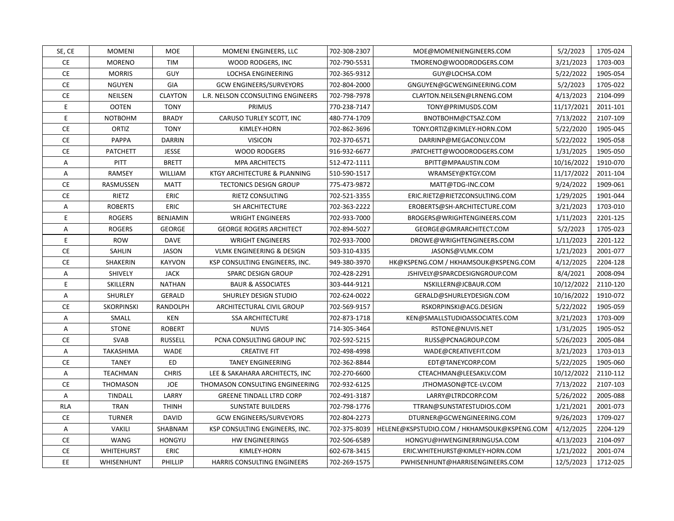| SE, CE     | <b>MOMENI</b>     | MOE             | MOMENI ENGINEERS, LLC             | 702-308-2307 | MOE@MOMENIENGINEERS.COM                     | 5/2/2023   | 1705-024 |
|------------|-------------------|-----------------|-----------------------------------|--------------|---------------------------------------------|------------|----------|
| <b>CE</b>  | <b>MORENO</b>     | TIM             | WOOD RODGERS, INC                 | 702-790-5531 | TMORENO@WOODRODGERS.COM                     | 3/21/2023  | 1703-003 |
| <b>CE</b>  | <b>MORRIS</b>     | GUY             | <b>LOCHSA ENGINEERING</b>         | 702-365-9312 | GUY@LOCHSA.COM                              | 5/22/2022  | 1905-054 |
| <b>CE</b>  | <b>NGUYEN</b>     | GIA             | <b>GCW ENGINEERS/SURVEYORS</b>    | 702-804-2000 | GNGUYEN@GCWENGINEERING.COM                  | 5/2/2023   | 1705-022 |
| <b>CE</b>  | NEILSEN           | <b>CLAYTON</b>  | L.R. NELSON CCONSULTING ENGINEERS | 702-798-7978 | CLAYTON.NEILSEN@LRNENG.COM                  | 4/13/2023  | 2104-099 |
| Ε          | <b>OOTEN</b>      | <b>TONY</b>     | PRIMUS                            | 770-238-7147 | TONY@PRIMUSDS.COM                           | 11/17/2021 | 2011-101 |
| Ε          | <b>NOTBOHM</b>    | <b>BRADY</b>    | CARUSO TURLEY SCOTT, INC          | 480-774-1709 | BNOTBOHM@CTSAZ.COM                          | 7/13/2022  | 2107-109 |
| <b>CE</b>  | ORTIZ             | <b>TONY</b>     | KIMLEY-HORN                       | 702-862-3696 | TONY.ORTIZ@KIMLEY-HORN.COM                  | 5/22/2020  | 1905-045 |
| CE         | PAPPA             | <b>DARRIN</b>   | <b>VISICON</b>                    | 702-370-6571 | DARRINP@MEGACONLV.COM                       | 5/22/2022  | 1905-058 |
| <b>CE</b>  | <b>PATCHETT</b>   | <b>JESSE</b>    | <b>WOOD RODGERS</b>               | 916-932-6677 | JPATCHETT@WOODRODGERS.COM                   | 1/31/2025  | 1905-050 |
| Α          | PITT              | <b>BRETT</b>    | <b>MPA ARCHITECTS</b>             | 512-472-1111 | BPITT@MPAAUSTIN.COM                         | 10/16/2022 | 1910-070 |
| Α          | <b>RAMSEY</b>     | WILLIAM         | KTGY ARCHITECTURE & PLANNING      | 510-590-1517 | WRAMSEY@KTGY.COM                            | 11/17/2022 | 2011-104 |
| CE         | RASMUSSEN         | MATT            | <b>TECTONICS DESIGN GROUP</b>     | 775-473-9872 | MATT@TDG-INC.COM                            | 9/24/2022  | 1909-061 |
| <b>CE</b>  | RIETZ             | ERIC            | RIETZ CONSULTING                  | 702-521-3355 | ERIC.RIETZ@RIETZCONSULTING.COM              | 1/29/2025  | 1901-044 |
| Α          | <b>ROBERTS</b>    | ERIC            | <b>SH ARCHITECTURE</b>            | 702-363-2222 | EROBERTS@SH-ARCHITECTURE.COM                | 3/21/2023  | 1703-010 |
| E          | <b>ROGERS</b>     | <b>BENJAMIN</b> | <b>WRIGHT ENGINEERS</b>           | 702-933-7000 | BROGERS@WRIGHTENGINEERS.COM                 | 1/11/2023  | 2201-125 |
| Α          | <b>ROGERS</b>     | <b>GEORGE</b>   | <b>GEORGE ROGERS ARCHITECT</b>    | 702-894-5027 | GEORGE@GMRARCHITECT.COM                     | 5/2/2023   | 1705-023 |
| E          | <b>ROW</b>        | <b>DAVE</b>     | <b>WRIGHT ENGINEERS</b>           | 702-933-7000 | DROWE@WRIGHTENGINEERS.COM                   | 1/11/2023  | 2201-122 |
| <b>CE</b>  | SAHLIN            | <b>JASON</b>    | VLMK ENGINEERING & DESIGN         | 503-310-4335 | JASONS@VLMK.COM                             | 1/21/2023  | 2001-077 |
| <b>CE</b>  | SHAKERIN          | <b>KAYVON</b>   | KSP CONSULTING ENGINEERS, INC.    | 949-380-3970 | HK@KSPENG.COM / HKHAMSOUK@KSPENG.COM        | 4/12/2025  | 2204-128 |
| Α          | <b>SHIVELY</b>    | <b>JACK</b>     | SPARC DESIGN GROUP                | 702-428-2291 | JSHIVELY@SPARCDESIGNGROUP.COM               | 8/4/2021   | 2008-094 |
| E          | SKILLERN          | <b>NATHAN</b>   | <b>BAUR &amp; ASSOCIATES</b>      | 303-444-9121 | NSKILLERN@JCBAUR.COM                        | 10/12/2022 | 2110-120 |
| Α          | <b>SHURLEY</b>    | <b>GERALD</b>   | SHURLEY DESIGN STUDIO             | 702-624-0022 | GERALD@SHURLEYDESIGN.COM                    | 10/16/2022 | 1910-072 |
| CE         | SKORPINSKI        | RANDOLPH        | ARCHITECTURAL CIVIL GROUP         | 702-569-9157 | RSKORPINSKI@ACG.DESIGN                      | 5/22/2022  | 1905-059 |
| Α          | SMALL             | KEN             | <b>SSA ARCHITECTURE</b>           | 702-873-1718 | KEN@SMALLSTUDIOASSOCIATES.COM               | 3/21/2023  | 1703-009 |
| Α          | <b>STONE</b>      | <b>ROBERT</b>   | <b>NUVIS</b>                      | 714-305-3464 | RSTONE@NUVIS.NET                            | 1/31/2025  | 1905-052 |
| CE         | SVAB              | <b>RUSSELL</b>  | PCNA CONSULTING GROUP INC         | 702-592-5215 | RUSS@PCNAGROUP.COM                          | 5/26/2023  | 2005-084 |
| Α          | TAKASHIMA         | WADE            | <b>CREATIVE FIT</b>               | 702-498-4998 | WADE@CREATIVEFIT.COM                        | 3/21/2023  | 1703-013 |
| CE         | <b>TANEY</b>      | ED              | <b>TANEY ENGINEERING</b>          | 702-362-8844 | EDT@TANEYCORP.COM                           | 5/22/2025  | 1905-060 |
| Α          | <b>TEACHMAN</b>   | <b>CHRIS</b>    | LEE & SAKAHARA ARCHITECTS, INC    | 702-270-6600 | CTEACHMAN@LEESAKLV.COM                      | 10/12/2022 | 2110-112 |
| <b>CE</b>  | <b>THOMASON</b>   | <b>JOE</b>      | THOMASON CONSULTING ENGINEERING   | 702-932-6125 | JTHOMASON@TCE-LV.COM                        | 7/13/2022  | 2107-103 |
| A          | <b>TINDALL</b>    | LARRY           | <b>GREENE TINDALL LTRD CORP</b>   | 702-491-3187 | LARRY@LTRDCORP.COM                          | 5/26/2022  | 2005-088 |
| <b>RLA</b> | <b>TRAN</b>       | <b>THINH</b>    | <b>SUNSTATE BUILDERS</b>          | 702-798-1776 | TTRAN@SUNSTATESTUDIOS.COM                   | 1/21/2021  | 2001-073 |
| <b>CE</b>  | <b>TURNER</b>     | <b>DAVID</b>    | <b>GCW ENGINEERS/SURVEYORS</b>    | 702-804-2273 | DTURNER@GCWENGINEERING.COM                  | 9/26/2023  | 1709-027 |
| Α          | <b>VAKILI</b>     | SHABNAM         | KSP CONSULTING ENGINEERS, INC.    | 702-375-8039 | HELENE@KSPSTUDIO.COM / HKHAMSOUK@KSPENG.COM | 4/12/2025  | 2204-129 |
| <b>CE</b>  | WANG              | <b>HONGYU</b>   | HW ENGINEERINGS                   | 702-506-6589 | HONGYU@HWENGINERRINGUSA.COM                 | 4/13/2023  | 2104-097 |
| <b>CE</b>  | <b>WHITEHURST</b> | ERIC            | KIMLEY-HORN                       | 602-678-3415 | ERIC.WHITEHURST@KIMLEY-HORN.COM             | 1/21/2022  | 2001-074 |
| EE         | WHISENHUNT        | PHILLIP         | HARRIS CONSULTING ENGINEERS       | 702-269-1575 | PWHISENHUNT@HARRISENGINEERS.COM             | 12/5/2023  | 1712-025 |